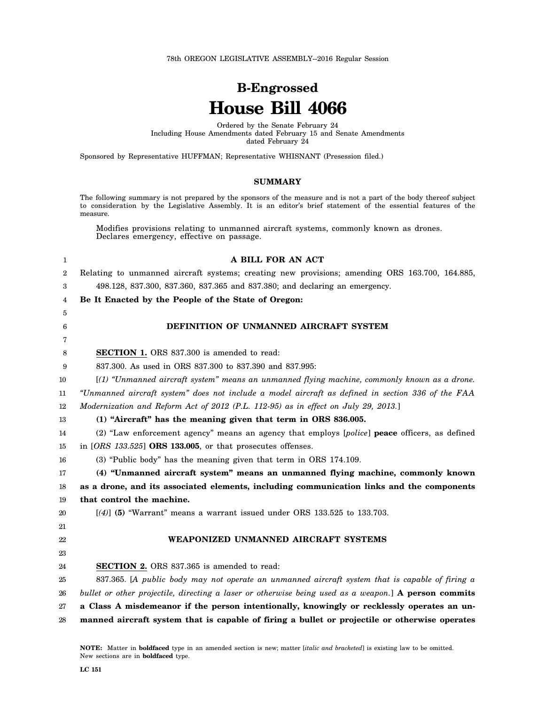78th OREGON LEGISLATIVE ASSEMBLY--2016 Regular Session

# **B-Engrossed House Bill 4066**

Ordered by the Senate February 24 Including House Amendments dated February 15 and Senate Amendments dated February 24

Sponsored by Representative HUFFMAN; Representative WHISNANT (Presession filed.)

#### **SUMMARY**

The following summary is not prepared by the sponsors of the measure and is not a part of the body thereof subject to consideration by the Legislative Assembly. It is an editor's brief statement of the essential features of the measure.

Modifies provisions relating to unmanned aircraft systems, commonly known as drones. Declares emergency, effective on passage.

| 1  | A BILL FOR AN ACT                                                                                    |
|----|------------------------------------------------------------------------------------------------------|
| 2  | Relating to unmanned aircraft systems; creating new provisions; amending ORS 163.700, 164.885,       |
| 3  | 498.128, 837.300, 837.360, 837.365 and 837.380; and declaring an emergency.                          |
| 4  | Be It Enacted by the People of the State of Oregon:                                                  |
| 5  |                                                                                                      |
| 6  | DEFINITION OF UNMANNED AIRCRAFT SYSTEM                                                               |
| 7  |                                                                                                      |
| 8  | SECTION 1. ORS 837.300 is amended to read:                                                           |
| 9  | 837.300. As used in ORS 837.300 to 837.390 and 837.995:                                              |
| 10 | [(1) "Unmanned aircraft system" means an unmanned flying machine, commonly known as a drone.         |
| 11 | "Unmanned aircraft system" does not include a model aircraft as defined in section 336 of the FAA    |
| 12 | Modernization and Reform Act of 2012 (P.L. 112-95) as in effect on July 29, 2013.]                   |
| 13 | (1) "Aircraft" has the meaning given that term in ORS 836.005.                                       |
| 14 | (2) "Law enforcement agency" means an agency that employs [police] peace officers, as defined        |
| 15 | in $[ORS$ 133.525] ORS 133.005, or that prosecutes offenses.                                         |
| 16 | (3) "Public body" has the meaning given that term in ORS 174.109.                                    |
| 17 | (4) "Unmanned aircraft system" means an unmanned flying machine, commonly known                      |
| 18 | as a drone, and its associated elements, including communication links and the components            |
| 19 | that control the machine.                                                                            |
| 20 | $[(4)]$ (5) "Warrant" means a warrant issued under ORS 133.525 to 133.703.                           |
| 21 |                                                                                                      |
| 22 | WEAPONIZED UNMANNED AIRCRAFT SYSTEMS                                                                 |
| 23 |                                                                                                      |
| 24 | <b>SECTION 2.</b> ORS 837.365 is amended to read:                                                    |
| 25 | 837.365. [A public body may not operate an unmanned aircraft system that is capable of firing a      |
| 26 | bullet or other projectile, directing a laser or otherwise being used as a weapon.] A person commits |
| 27 | a Class A misdemeanor if the person intentionally, knowingly or recklessly operates an un-           |
| 28 | manned aircraft system that is capable of firing a bullet or projectile or otherwise operates        |
|    |                                                                                                      |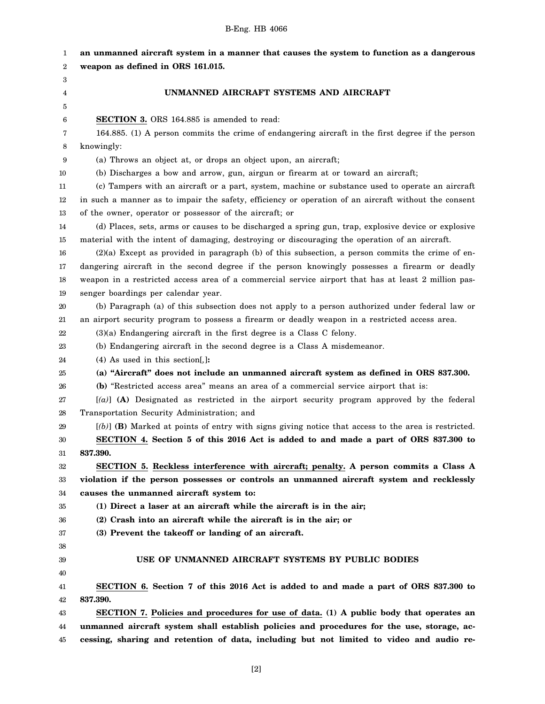| 1  | an unmanned aircraft system in a manner that causes the system to function as a dangerous             |
|----|-------------------------------------------------------------------------------------------------------|
| 2  | weapon as defined in ORS 161.015.                                                                     |
| 3  |                                                                                                       |
| 4  | UNMANNED AIRCRAFT SYSTEMS AND AIRCRAFT                                                                |
| 5  |                                                                                                       |
| 6  | <b>SECTION 3.</b> ORS 164.885 is amended to read:                                                     |
| 7  | 164.885. (1) A person commits the crime of endangering aircraft in the first degree if the person     |
| 8  | knowingly:                                                                                            |
| 9  | (a) Throws an object at, or drops an object upon, an aircraft;                                        |
| 10 | (b) Discharges a bow and arrow, gun, airgun or firearm at or toward an aircraft;                      |
| 11 | (c) Tampers with an aircraft or a part, system, machine or substance used to operate an aircraft      |
| 12 | in such a manner as to impair the safety, efficiency or operation of an aircraft without the consent  |
| 13 | of the owner, operator or possessor of the aircraft; or                                               |
| 14 | (d) Places, sets, arms or causes to be discharged a spring gun, trap, explosive device or explosive   |
| 15 | material with the intent of damaging, destroying or discouraging the operation of an aircraft.        |
| 16 | $(2)(a)$ Except as provided in paragraph (b) of this subsection, a person commits the crime of en-    |
| 17 | dangering aircraft in the second degree if the person knowingly possesses a firearm or deadly         |
| 18 | weapon in a restricted access area of a commercial service airport that has at least 2 million pas-   |
| 19 | senger boardings per calendar year.                                                                   |
| 20 | (b) Paragraph (a) of this subsection does not apply to a person authorized under federal law or       |
| 21 | an airport security program to possess a firearm or deadly weapon in a restricted access area.        |
| 22 | $(3)(a)$ Endangering aircraft in the first degree is a Class C felony.                                |
| 23 | (b) Endangering aircraft in the second degree is a Class A misdemeanor.                               |
| 24 | $(4)$ As used in this section[,]:                                                                     |
| 25 | (a) "Aircraft" does not include an unmanned aircraft system as defined in ORS 837.300.                |
| 26 | (b) "Restricted access area" means an area of a commercial service airport that is:                   |
| 27 | $[(a)]$ (A) Designated as restricted in the airport security program approved by the federal          |
| 28 | Transportation Security Administration; and                                                           |
| 29 | $[(b)]$ (B) Marked at points of entry with signs giving notice that access to the area is restricted. |
| 30 | SECTION 4. Section 5 of this 2016 Act is added to and made a part of ORS 837.300 to                   |
| 31 | 837.390.                                                                                              |
| 32 | SECTION 5. Reckless interference with aircraft; penalty. A person commits a Class A                   |
| 33 | violation if the person possesses or controls an unmanned aircraft system and recklessly              |
| 34 | causes the unmanned aircraft system to:                                                               |
| 35 | (1) Direct a laser at an aircraft while the aircraft is in the air;                                   |
| 36 | (2) Crash into an aircraft while the aircraft is in the air; or                                       |
| 37 | (3) Prevent the takeoff or landing of an aircraft.                                                    |
| 38 |                                                                                                       |
| 39 | USE OF UNMANNED AIRCRAFT SYSTEMS BY PUBLIC BODIES                                                     |
| 40 |                                                                                                       |
| 41 | SECTION 6. Section 7 of this 2016 Act is added to and made a part of ORS 837.300 to                   |
| 42 | 837.390.                                                                                              |
| 43 | SECTION 7. Policies and procedures for use of data. (1) A public body that operates an                |
| 44 | unmanned aircraft system shall establish policies and procedures for the use, storage, ac-            |
| 45 | cessing, sharing and retention of data, including but not limited to video and audio re-              |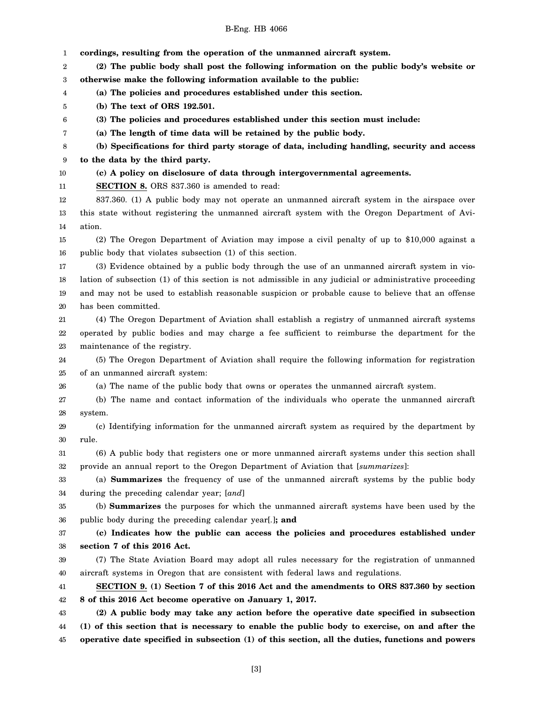| 1  | cordings, resulting from the operation of the unmanned aircraft system.                                 |
|----|---------------------------------------------------------------------------------------------------------|
| 2  | (2) The public body shall post the following information on the public body's website or                |
| 3  | otherwise make the following information available to the public:                                       |
| 4  | (a) The policies and procedures established under this section.                                         |
| 5  | (b) The text of ORS 192.501.                                                                            |
| 6  | (3) The policies and procedures established under this section must include:                            |
| 7  | (a) The length of time data will be retained by the public body.                                        |
| 8  | (b) Specifications for third party storage of data, including handling, security and access             |
| 9  | to the data by the third party.                                                                         |
| 10 | (c) A policy on disclosure of data through intergovernmental agreements.                                |
| 11 | <b>SECTION 8.</b> ORS 837.360 is amended to read:                                                       |
| 12 | 837.360. (1) A public body may not operate an unmanned aircraft system in the airspace over             |
| 13 | this state without registering the unmanned aircraft system with the Oregon Department of Avi-          |
| 14 | ation.                                                                                                  |
| 15 | (2) The Oregon Department of Aviation may impose a civil penalty of up to \$10,000 against a            |
| 16 | public body that violates subsection (1) of this section.                                               |
| 17 | (3) Evidence obtained by a public body through the use of an unmanned aircraft system in vio-           |
| 18 | lation of subsection (1) of this section is not admissible in any judicial or administrative proceeding |
| 19 | and may not be used to establish reasonable suspicion or probable cause to believe that an offense      |
| 20 | has been committed.                                                                                     |
| 21 | (4) The Oregon Department of Aviation shall establish a registry of unmanned aircraft systems           |
| 22 | operated by public bodies and may charge a fee sufficient to reimburse the department for the           |
| 23 | maintenance of the registry.                                                                            |
| 24 | (5) The Oregon Department of Aviation shall require the following information for registration          |
| 25 | of an unmanned aircraft system:                                                                         |
| 26 | (a) The name of the public body that owns or operates the unmanned aircraft system.                     |
| 27 | (b) The name and contact information of the individuals who operate the unmanned aircraft               |
| 28 | system.                                                                                                 |
| 29 | (c) Identifying information for the unmanned aircraft system as required by the department by           |
| 30 | rule.                                                                                                   |
| 31 | (6) A public body that registers one or more unmanned aircraft systems under this section shall         |
| 32 | provide an annual report to the Oregon Department of Aviation that [summarizes]:                        |
| 33 | (a) <b>Summarizes</b> the frequency of use of the unmanned aircraft systems by the public body          |
| 34 | during the preceding calendar year; [and]                                                               |
| 35 | (b) <b>Summarizes</b> the purposes for which the unmanned aircraft systems have been used by the        |
| 36 | public body during the preceding calendar year.]; and                                                   |
| 37 | (c) Indicates how the public can access the policies and procedures established under                   |
| 38 | section 7 of this 2016 Act.                                                                             |
| 39 | (7) The State Aviation Board may adopt all rules necessary for the registration of unmanned             |
| 40 | aircraft systems in Oregon that are consistent with federal laws and regulations.                       |
| 41 | SECTION 9. (1) Section 7 of this 2016 Act and the amendments to ORS 837.360 by section                  |
| 42 | 8 of this 2016 Act become operative on January 1, 2017.                                                 |
| 43 | (2) A public body may take any action before the operative date specified in subsection                 |
| 44 | (1) of this section that is necessary to enable the public body to exercise, on and after the           |
| 45 | operative date specified in subsection (1) of this section, all the duties, functions and powers        |
|    |                                                                                                         |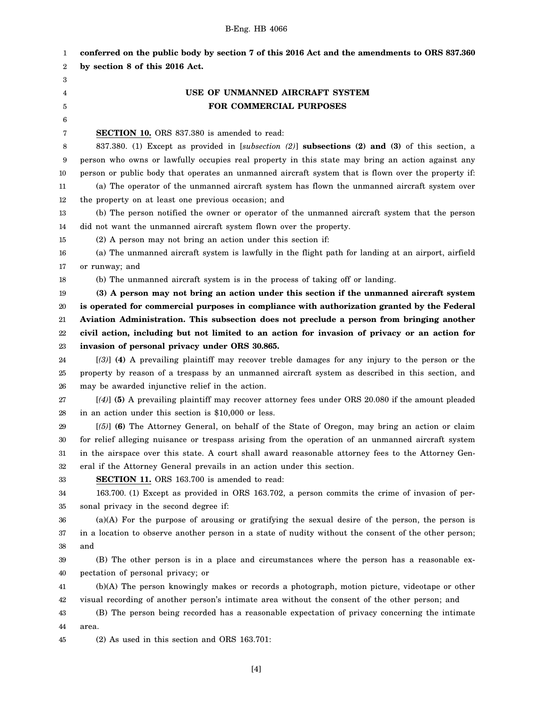| 1        | conferred on the public body by section 7 of this 2016 Act and the amendments to ORS 837.360                                             |
|----------|------------------------------------------------------------------------------------------------------------------------------------------|
| 2        | by section 8 of this 2016 Act.                                                                                                           |
| 3        |                                                                                                                                          |
| 4        | USE OF UNMANNED AIRCRAFT SYSTEM                                                                                                          |
| 5        | FOR COMMERCIAL PURPOSES                                                                                                                  |
| 6        |                                                                                                                                          |
| 7        | <b>SECTION 10.</b> ORS 837.380 is amended to read:                                                                                       |
| 8        | 837.380. (1) Except as provided in [subsection (2)] subsections (2) and (3) of this section, a                                           |
| 9        | person who owns or lawfully occupies real property in this state may bring an action against any                                         |
| 10       | person or public body that operates an unmanned aircraft system that is flown over the property if:                                      |
| 11       | (a) The operator of the unmanned aircraft system has flown the unmanned aircraft system over                                             |
| 12       | the property on at least one previous occasion; and                                                                                      |
| 13       | (b) The person notified the owner or operator of the unmanned aircraft system that the person                                            |
| 14       | did not want the unmanned aircraft system flown over the property.                                                                       |
| 15       | (2) A person may not bring an action under this section if:                                                                              |
| 16       | (a) The unmanned aircraft system is lawfully in the flight path for landing at an airport, airfield                                      |
| 17       | or runway; and                                                                                                                           |
| 18       | (b) The unmanned aircraft system is in the process of taking off or landing.                                                             |
| 19       | (3) A person may not bring an action under this section if the unmanned aircraft system                                                  |
| 20       | is operated for commercial purposes in compliance with authorization granted by the Federal                                              |
| $21\,$   | Aviation Administration. This subsection does not preclude a person from bringing another                                                |
| 22       | civil action, including but not limited to an action for invasion of privacy or an action for                                            |
| 23       | invasion of personal privacy under ORS 30.865.                                                                                           |
| 24       | [(3)] (4) A prevailing plaintiff may recover treble damages for any injury to the person or the                                          |
| 25       | property by reason of a trespass by an unmanned aircraft system as described in this section, and                                        |
| 26       | may be awarded injunctive relief in the action.                                                                                          |
| 27       | $[(4)]$ (5) A prevailing plaintiff may recover attorney fees under ORS 20.080 if the amount pleaded                                      |
| 28       | in an action under this section is \$10,000 or less.                                                                                     |
| 29       | $[56]$ (6) The Attorney General, on behalf of the State of Oregon, may bring an action or claim                                          |
| $30\,$   | for relief alleging nuisance or trespass arising from the operation of an unmanned aircraft system                                       |
| 31       | in the airspace over this state. A court shall award reasonable attorney fees to the Attorney Gen-                                       |
| 32       | eral if the Attorney General prevails in an action under this section.                                                                   |
| 33       | <b>SECTION 11.</b> ORS 163.700 is amended to read:                                                                                       |
| 34       | 163.700. (1) Except as provided in ORS 163.702, a person commits the crime of invasion of per-<br>sonal privacy in the second degree if: |
| 35       | $(a)(A)$ For the purpose of arousing or gratifying the sexual desire of the person, the person is                                        |
| 36<br>37 | in a location to observe another person in a state of nudity without the consent of the other person;                                    |
| 38       | and                                                                                                                                      |
| 39       | (B) The other person is in a place and circumstances where the person has a reasonable ex-                                               |
| 40       | pectation of personal privacy; or                                                                                                        |
| 41       | (b)(A) The person knowingly makes or records a photograph, motion picture, videotape or other                                            |
| 42       | visual recording of another person's intimate area without the consent of the other person; and                                          |
| 43       | (B) The person being recorded has a reasonable expectation of privacy concerning the intimate                                            |
| 44       | area.                                                                                                                                    |
|          |                                                                                                                                          |

45 (2) As used in this section and ORS 163.701: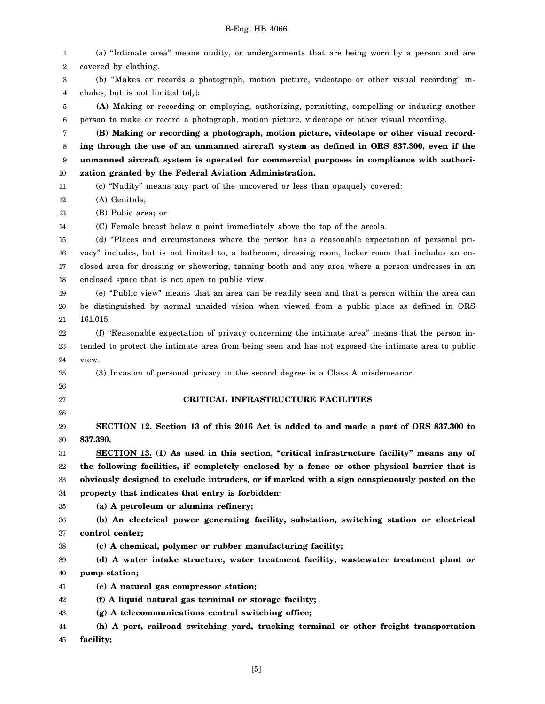| 1  | (a) "Intimate area" means nudity, or undergarments that are being worn by a person and are          |
|----|-----------------------------------------------------------------------------------------------------|
| 2  | covered by clothing.                                                                                |
| 3  | (b) "Makes or records a photograph, motion picture, videotape or other visual recording" in-        |
| 4  | cludes, but is not limited to[,]:                                                                   |
| 5  | (A) Making or recording or employing, authorizing, permitting, compelling or inducing another       |
| 6  | person to make or record a photograph, motion picture, videotape or other visual recording.         |
| 7  | (B) Making or recording a photograph, motion picture, videotape or other visual record-             |
| 8  | ing through the use of an unmanned aircraft system as defined in ORS 837.300, even if the           |
| 9  | unmanned aircraft system is operated for commercial purposes in compliance with authori-            |
| 10 | zation granted by the Federal Aviation Administration.                                              |
| 11 | (c) "Nudity" means any part of the uncovered or less than opaquely covered:                         |
| 12 | (A) Genitals;                                                                                       |
| 13 | (B) Pubic area; or                                                                                  |
| 14 | (C) Female breast below a point immediately above the top of the areola.                            |
| 15 | (d) "Places and circumstances where the person has a reasonable expectation of personal pri-        |
| 16 | vacy" includes, but is not limited to, a bathroom, dressing room, locker room that includes an en-  |
| 17 | closed area for dressing or showering, tanning booth and any area where a person undresses in an    |
| 18 | enclosed space that is not open to public view.                                                     |
| 19 | (e) "Public view" means that an area can be readily seen and that a person within the area can      |
| 20 | be distinguished by normal unaided vision when viewed from a public place as defined in ORS         |
| 21 | 161.015.                                                                                            |
| 22 | (f) "Reasonable expectation of privacy concerning the intimate area" means that the person in-      |
| 23 | tended to protect the intimate area from being seen and has not exposed the intimate area to public |
| 24 | view.                                                                                               |
| 25 | (3) Invasion of personal privacy in the second degree is a Class A misdemeanor.                     |
| 26 |                                                                                                     |
| 27 | CRITICAL INFRASTRUCTURE FACILITIES                                                                  |
| 28 |                                                                                                     |
| 29 | SECTION 12. Section 13 of this 2016 Act is added to and made a part of ORS 837.300 to               |
| 30 | 837.390.                                                                                            |
| 31 | SECTION 13. (1) As used in this section, "critical infrastructure facility" means any of            |
| 32 | the following facilities, if completely enclosed by a fence or other physical barrier that is       |
| 33 | obviously designed to exclude intruders, or if marked with a sign conspicuously posted on the       |
| 34 | property that indicates that entry is forbidden:                                                    |
| 35 | (a) A petroleum or alumina refinery;                                                                |
| 36 | (b) An electrical power generating facility, substation, switching station or electrical            |
| 37 | control center;                                                                                     |
| 38 | (c) A chemical, polymer or rubber manufacturing facility;                                           |
| 39 | (d) A water intake structure, water treatment facility, wastewater treatment plant or               |
| 40 | pump station;                                                                                       |
| 41 | (e) A natural gas compressor station;                                                               |
| 42 | (f) A liquid natural gas terminal or storage facility;                                              |
| 43 | (g) A telecommunications central switching office;                                                  |
| 44 | (h) A port, railroad switching yard, trucking terminal or other freight transportation              |
| 45 | facility;                                                                                           |

[5]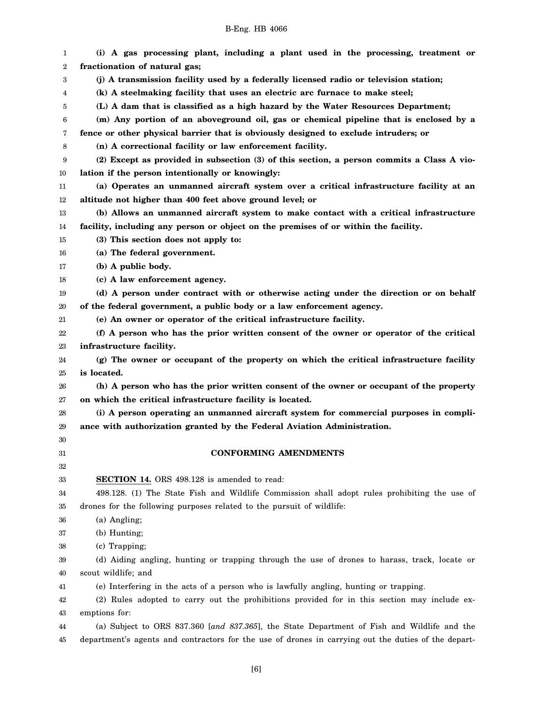| B-Eng. HB 4066 |  |  |
|----------------|--|--|
|----------------|--|--|

| 1        | (i) A gas processing plant, including a plant used in the processing, treatment or                  |
|----------|-----------------------------------------------------------------------------------------------------|
| 2        | fractionation of natural gas;                                                                       |
| 3        | (j) A transmission facility used by a federally licensed radio or television station;               |
| 4        | (k) A steelmaking facility that uses an electric arc furnace to make steel;                         |
| 5        | (L) A dam that is classified as a high hazard by the Water Resources Department;                    |
| 6        | (m) Any portion of an aboveground oil, gas or chemical pipeline that is enclosed by a               |
| 7        | fence or other physical barrier that is obviously designed to exclude intruders; or                 |
| 8        | (n) A correctional facility or law enforcement facility.                                            |
| 9        | (2) Except as provided in subsection (3) of this section, a person commits a Class A vio-           |
| 10       | lation if the person intentionally or knowingly:                                                    |
| 11       | (a) Operates an unmanned aircraft system over a critical infrastructure facility at an              |
| 12       | altitude not higher than 400 feet above ground level; or                                            |
| 13       | (b) Allows an unmanned aircraft system to make contact with a critical infrastructure               |
| 14       | facility, including any person or object on the premises of or within the facility.                 |
| 15       | (3) This section does not apply to:                                                                 |
| 16       | (a) The federal government.                                                                         |
| 17       | (b) A public body.                                                                                  |
| 18       | (c) A law enforcement agency.                                                                       |
| 19       | (d) A person under contract with or otherwise acting under the direction or on behalf               |
| 20       | of the federal government, a public body or a law enforcement agency.                               |
| 21       | (e) An owner or operator of the critical infrastructure facility.                                   |
| 22       | (f) A person who has the prior written consent of the owner or operator of the critical             |
| 23       | infrastructure facility.                                                                            |
| 24       | (g) The owner or occupant of the property on which the critical infrastructure facility             |
| 25       | is located.                                                                                         |
| 26       | (h) A person who has the prior written consent of the owner or occupant of the property             |
| 27       | on which the critical infrastructure facility is located.                                           |
| 28       | (i) A person operating an unmanned aircraft system for commercial purposes in compli-               |
| 29       | ance with authorization granted by the Federal Aviation Administration.                             |
| 30<br>31 | <b>CONFORMING AMENDMENTS</b>                                                                        |
| 32       |                                                                                                     |
| 33       | <b>SECTION 14.</b> ORS 498.128 is amended to read:                                                  |
| 34       | 498.128. (1) The State Fish and Wildlife Commission shall adopt rules prohibiting the use of        |
| 35       | drones for the following purposes related to the pursuit of wildlife:                               |
| 36       | (a) Angling;                                                                                        |
| 37       | (b) Hunting;                                                                                        |
| 38       | (c) Trapping;                                                                                       |
| 39       | (d) Aiding angling, hunting or trapping through the use of drones to harass, track, locate or       |
| 40       | scout wildlife; and                                                                                 |
| 41       | (e) Interfering in the acts of a person who is lawfully angling, hunting or trapping.               |
| 42       | (2) Rules adopted to carry out the prohibitions provided for in this section may include ex-        |
| 43       | emptions for:                                                                                       |
| 44       | (a) Subject to ORS 837.360 [and 837.365], the State Department of Fish and Wildlife and the         |
| 45       | department's agents and contractors for the use of drones in carrying out the duties of the depart- |